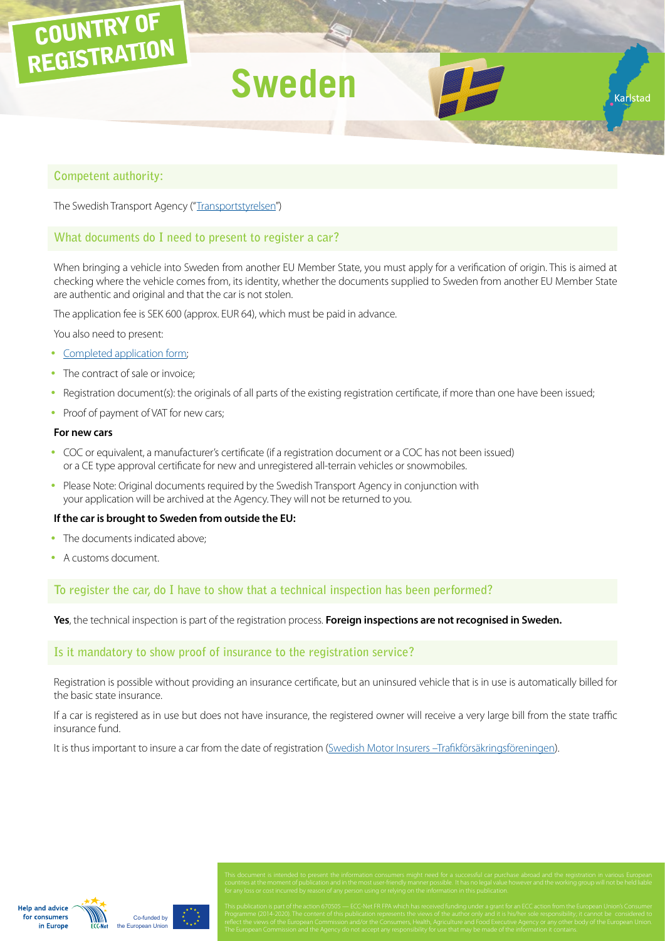# COUNTRY OF  $\frac{1}{2}$ REGISTRATION **Sweden**

## **Competent authority:**

The Swedish Transport Agency ("[Transportstyrelsen"](https://transportstyrelsen.se/en))

# **What documents do I need to present to register a car?**

When bringing a vehicle into Sweden from another EU Member State, you must apply for a verification of origin. This is aimed at checking where the vehicle comes from, its identity, whether the documents supplied to Sweden from another EU Member State are authentic and original and that the car is not stolen.

Karlstac

The application fee is SEK 600 (approx. EUR 64), which must be paid in advance.

You also need to present:

- [Completed application form](http://www.transportstyrelsen.se/globalassets/global/blanketter/vag/fordon/201-045e.pdf);
- The contract of sale or invoice;
- Registration document(s): the originals of all parts of the existing registration certificate, if more than one have been issued;
- Proof of payment of VAT for new cars;

### **For new cars**

- COC or equivalent, a manufacturer's certificate (if a registration document or a COC has not been issued) or a CE type approval certificate for new and unregistered all-terrain vehicles or snowmobiles.
- Please Note: Original documents required by the Swedish Transport Agency in conjunction with your application will be archived at the Agency. They will not be returned to you.

#### **If the car is brought to Sweden from outside the EU:**

- The documents indicated above:
- A customs document.

## **To register the car, do I have to show that a technical inspection has been performed?**

**Yes**, the technical inspection is part of the registration process. **Foreign inspections are not recognised in Sweden.**

#### **Is it mandatory to show proof of insurance to the registration service?**

Registration is possible without providing an insurance certificate, but an uninsured vehicle that is in use is automatically billed for the basic state insurance.

If a car is registered as in use but does not have insurance, the registered owner will receive a very large bill from the state traffic insurance fund.

It is thus important to insure a car from the date of registration [\(Swedish Motor Insurers –Trafikförsäkringsföreningen\)](http://www.tff.se/en/About-us/).